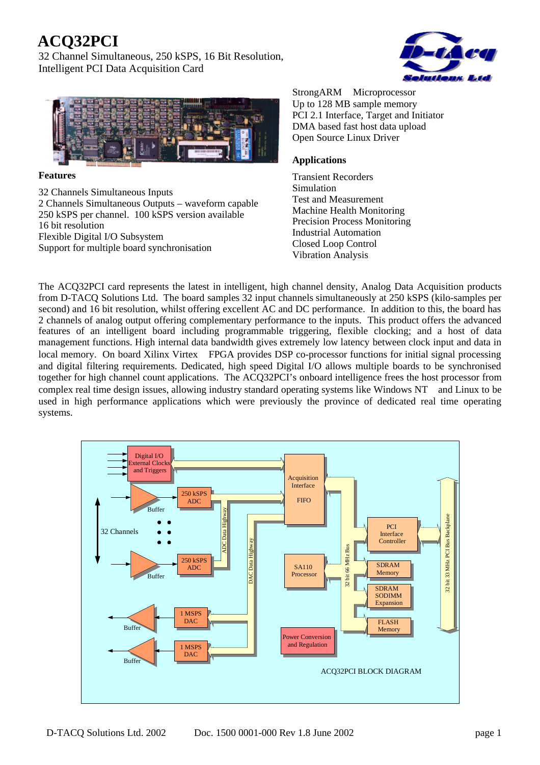# **ACQ32PCI**

32 Channel Simultaneous, 250 kSPS, 16 Bit Resolution, Intelligent PCI Data Acquisition Card





### **Features**

32 Channels Simultaneous Inputs 2 Channels Simultaneous Outputs – waveform capable 250 kSPS per channel. 100 kSPS version available 16 bit resolution Flexible Digital I/O Subsystem Support for multiple board synchronisation

StrongARM<sup>TM</sup> Microprocessor Up to 128 MB sample memory PCI 2.1 Interface, Target and Initiator DMA based fast host data upload Open Source Linux Driver

## **Applications**

Transient Recorders Simulation Test and Measurement Machine Health Monitoring Precision Process Monitoring Industrial Automation Closed Loop Control Vibration Analysis

The ACQ32PCI card represents the latest in intelligent, high channel density, Analog Data Acquisition products from D-TACQ Solutions Ltd. The board samples 32 input channels simultaneously at 250 kSPS (kilo-samples per second) and 16 bit resolution, whilst offering excellent AC and DC performance. In addition to this, the board has 2 channels of analog output offering complementary performance to the inputs. This product offers the advanced features of an intelligent board including programmable triggering, flexible clocking; and a host of data management functions. High internal data bandwidth gives extremely low latency between clock input and data in local memory. On board Xilinx Virtex<sup>™</sup> FPGA provides DSP co-processor functions for initial signal processing and digital filtering requirements. Dedicated, high speed Digital I/O allows multiple boards to be synchronised together for high channel count applications. The ACQ32PCI's onboard intelligence frees the host processor from complex real time design issues, allowing industry standard operating systems like Windows  $NT^{TM}$  and Linux to be used in high performance applications which were previously the province of dedicated real time operating systems.